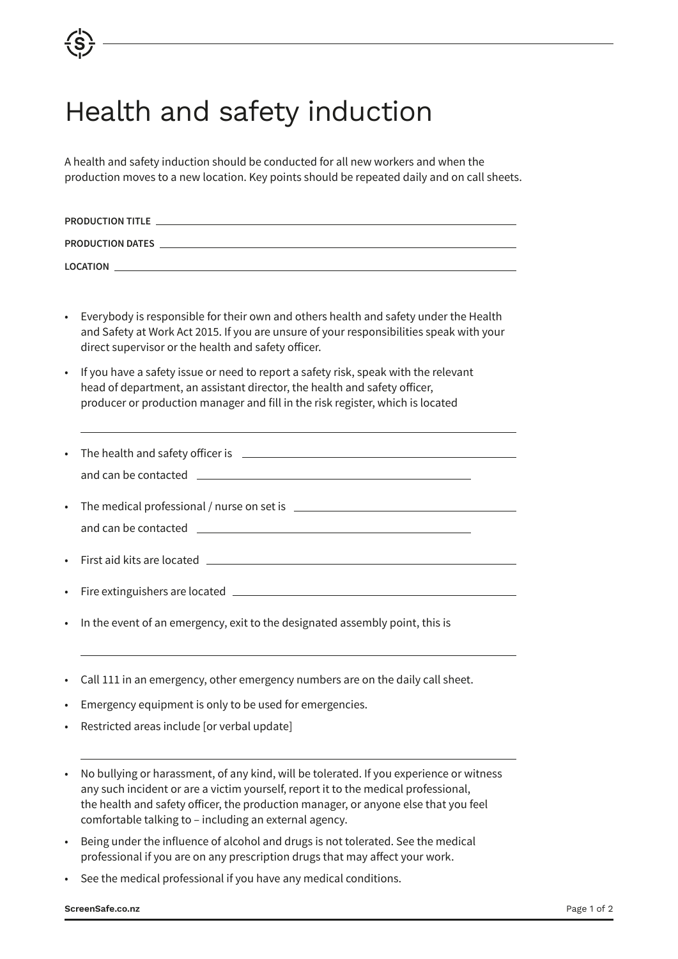## Health and safety induction

A health and safety induction should be conducted for all new workers and when the production moves to a new location. Key points should be repeated daily and on call sheets.

| <b>PRODUCTION TITLE</b> |  |
|-------------------------|--|
| <b>PRODUCTION DATES</b> |  |
| <b>LOCATION</b>         |  |

- Everybody is responsible for their own and others health and safety under the Health and Safety at Work Act 2015. If you are unsure of your responsibilities speak with your direct supervisor or the health and safety officer.
- If you have a safety issue or need to report a safety risk, speak with the relevant head of department, an assistant director, the health and safety officer, producer or production manager and fill in the risk register, which is located
- The health and safety officer is and can be contacted
- The medical professional / nurse on set is and can be contacted

• First aid kits are located

- Fire extinguishers are located
- In the event of an emergency, exit to the designated assembly point, this is
- Call 111 in an emergency, other emergency numbers are on the daily call sheet.
- Emergency equipment is only to be used for emergencies.
- Restricted areas include [or verbal update]
- No bullying or harassment, of any kind, will be tolerated. If you experience or witness any such incident or are a victim yourself, report it to the medical professional, the health and safety officer, the production manager, or anyone else that you feel comfortable talking to – including an external agency.
- Being under the influence of alcohol and drugs is not tolerated. See the medical professional if you are on any prescription drugs that may affect your work.
- See the medical professional if you have any medical conditions.

**ScreenSafe.co.nz** Page 1 of 2